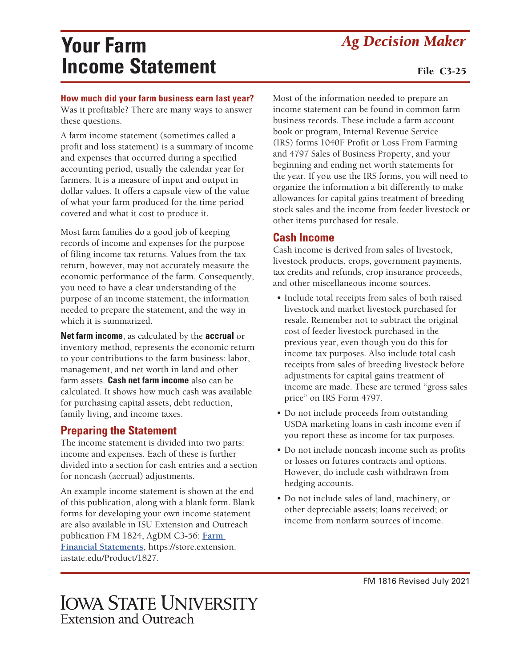# *Ag Decision Maker* **Your Farm Income Statement**

#### File C3-25

#### **How much did your farm business earn last year?**

Was it profitable? There are many ways to answer these questions.

A farm income statement (sometimes called a profit and loss statement) is a summary of income and expenses that occurred during a specified accounting period, usually the calendar year for farmers. It is a measure of input and output in dollar values. It offers a capsule view of the value of what your farm produced for the time period covered and what it cost to produce it.

Most farm families do a good job of keeping records of income and expenses for the purpose of filing income tax returns. Values from the tax return, however, may not accurately measure the economic performance of the farm. Consequently, you need to have a clear understanding of the purpose of an income statement, the information needed to prepare the statement, and the way in which it is summarized.

**Net farm income**, as calculated by the **accrual** or inventory method, represents the economic return to your contributions to the farm business: labor, management, and net worth in land and other farm assets. **Cash net farm income** also can be calculated. It shows how much cash was available for purchasing capital assets, debt reduction, family living, and income taxes.

#### **Preparing the Statement**

The income statement is divided into two parts: income and expenses. Each of these is further divided into a section for cash entries and a section for noncash (accrual) adjustments.

An example income statement is shown at the end of this publication, along with a blank form. Blank forms for developing your own income statement are also available in ISU Extension and Outreach publication FM 1824, AgDM C3-56: **[Farm](https://store.extension.iastate.edu/Product/1827)  [Financial Statements](https://store.extension.iastate.edu/Product/1827)**, [https://store.extension.](https://store.extension.iastate.edu/Product/1827) [iastate.edu/Product/1827.](https://store.extension.iastate.edu/Product/1827)

Most of the information needed to prepare an income statement can be found in common farm business records. These include a farm account book or program, Internal Revenue Service (IRS) forms 1040F Profit or Loss From Farming and 4797 Sales of Business Property, and your beginning and ending net worth statements for the year. If you use the IRS forms, you will need to organize the information a bit differently to make allowances for capital gains treatment of breeding stock sales and the income from feeder livestock or other items purchased for resale.

#### **Cash Income**

Cash income is derived from sales of livestock, livestock products, crops, government payments, tax credits and refunds, crop insurance proceeds, and other miscellaneous income sources.

- Include total receipts from sales of both raised livestock and market livestock purchased for resale. Remember not to subtract the original cost of feeder livestock purchased in the previous year, even though you do this for income tax purposes. Also include total cash receipts from sales of breeding livestock before adjustments for capital gains treatment of income are made. These are termed "gross sales price" on IRS Form 4797.
- Do not include proceeds from outstanding USDA marketing loans in cash income even if you report these as income for tax purposes.
- Do not include noncash income such as profits or losses on futures contracts and options. However, do include cash withdrawn from hedging accounts.
- Do not include sales of land, machinery, or other depreciable assets; loans received; or income from nonfarm sources of income.

**IOWA STATE UNIVERSITY** Extension and Outreach

FM 1816 Revised July 2021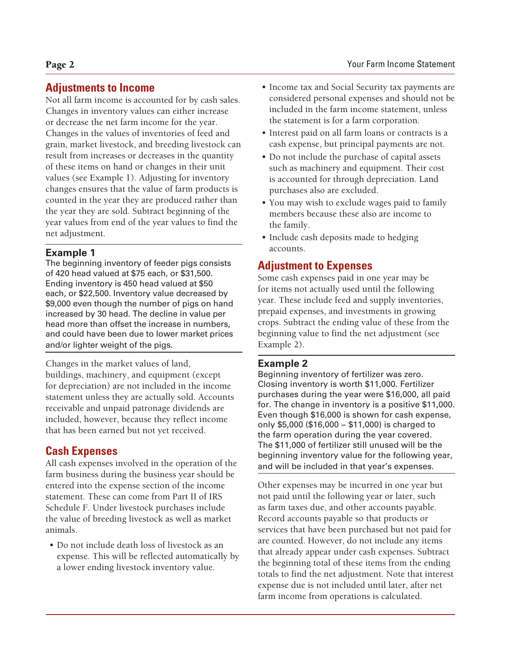#### **Adjustments to Income**

Not all farm income is accounted for by cash sales. Changes in inventory values can either increase or decrease the net farm income for the year. Changes in the values of inventories of feed and grain, market livestock, and breeding livestock can result from increases or decreases in the quantity of these items on hand or changes in their unit values (see Example 1). Adjusting for inventory changes ensures that the value of farm products is counted in the year they are produced rather than the year they are sold. Subtract beginning of the year values from end of the year values to find the net adjustment.

#### **Example 1**

The beginning inventory of feeder pigs consists of 420 head valued at \$75 each, or \$31,500. Ending inventory is 450 head valued at \$50 each, or \$22,500. Inventory value decreased by \$9,000 even though the number of pigs on hand increased by 30 head. The decline in value per head more than offset the increase in numbers, and could have been due to lower market prices and/or lighter weight of the pigs.

Changes in the market values of land, buildings, machinery, and equipment (except for depreciation) are not included in the income statement unless they are actually sold. Accounts receivable and unpaid patronage dividends are included, however, because they reflect income that has been earned but not yet received.

#### **Cash Expenses**

All cash expenses involved in the operation of the farm business during the business year should be entered into the expense section of the income statement. These can come from Part II of IRS Schedule F. Under livestock purchases include the value of breeding livestock as well as market animals.

• Do not include death loss of livestock as an expense. This will be reflected automatically by a lower ending livestock inventory value.

- Income tax and Social Security tax payments are considered personal expenses and should not be included in the farm income statement, unless the statement is for a farm corporation.
- Interest paid on all farm loans or contracts is a cash expense, but principal payments are not.
- Do not include the purchase of capital assets such as machinery and equipment. Their cost is accounted for through depreciation. Land purchases also are excluded.
- You may wish to exclude wages paid to family members because these also are income to the family.
- Include cash deposits made to hedging accounts.

#### **Adjustment to Expenses**

Some cash expenses paid in one year may be for items not actually used until the following year. These include feed and supply inventories, prepaid expenses, and investments in growing crops. Subtract the ending value of these from the beginning value to find the net adjustment (see Example 2).

#### **Example 2**

Beginning inventory of fertilizer was zero. Closing inventory is worth \$11,000. Fertilizer purchases during the year were \$16,000, all paid for. The change in inventory is a positive \$11,000. Even though \$16,000 is shown for cash expense, only \$5,000 (\$16,000 − \$11,000) is charged to the farm operation during the year covered. The \$11,000 of fertilizer still unused will be the beginning inventory value for the following year, and will be included in that year's expenses.

Other expenses may be incurred in one year but not paid until the following year or later, such as farm taxes due, and other accounts payable. Record accounts payable so that products or services that have been purchased but not paid for are counted. However, do not include any items that already appear under cash expenses. Subtract the beginning total of these items from the ending totals to find the net adjustment. Note that interest expense due is not included until later, after net farm income from operations is calculated.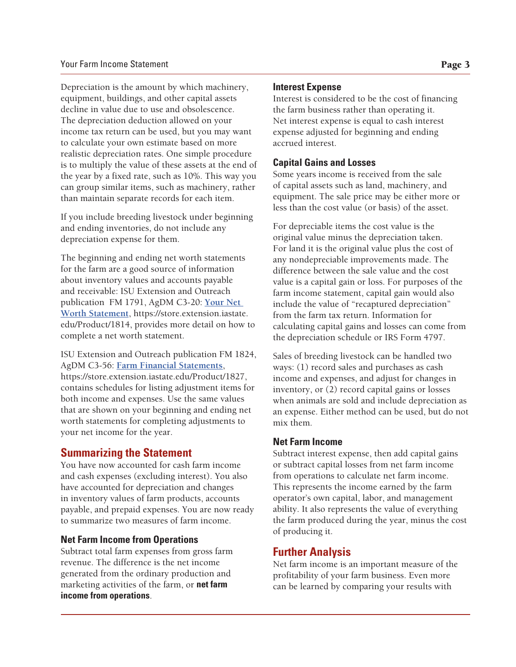Depreciation is the amount by which machinery, equipment, buildings, and other capital assets decline in value due to use and obsolescence. The depreciation deduction allowed on your income tax return can be used, but you may want to calculate your own estimate based on more realistic depreciation rates. One simple procedure is to multiply the value of these assets at the end of the year by a fixed rate, such as 10%. This way you can group similar items, such as machinery, rather than maintain separate records for each item.

If you include breeding livestock under beginning and ending inventories, do not include any depreciation expense for them.

The beginning and ending net worth statements for the farm are a good source of information about inventory values and accounts payable and receivable: ISU Extension and Outreach publication FM 1791, AgDM C3-20: **[Your Net](https://store.extension.iastate.edu/Product/1814)  [Worth Statement](https://store.extension.iastate.edu/Product/1814)**, [https://store.extension.iastate.](https://store.extension.iastate.edu/Product/1827) [edu/Product/1814, provides more detail on how to](https://store.extension.iastate.edu/Product/1827)  [complete a net worth statement.](https://store.extension.iastate.edu/Product/1827)

[ISU Extension and Outreach publication FM 1824,](https://store.extension.iastate.edu/Product/1827)  AgDM C3-56: **[Farm Financial Statements](https://store.extension.iastate.edu/Product/1827)**, [https://store.extension.iastate.edu/Product/1827,](https://store.extension.iastate.edu/Product/1827)  [contains schedules for listing adjustment items for](https://store.extension.iastate.edu/Product/1827)  [both income and expenses. Use the same values](https://store.extension.iastate.edu/Product/1827)  [that are shown on your beginning and ending net](https://store.extension.iastate.edu/Product/1827)  [worth statements for completing adjustments to](https://store.extension.iastate.edu/Product/1827)  [your net income for the year.](https://store.extension.iastate.edu/Product/1827)

#### **Summarizing the Statement**

You have now accounted for cash farm income and cash expenses (excluding interest). You also have accounted for depreciation and changes in inventory values of farm products, accounts payable, and prepaid expenses. You are now ready to summarize two measures of farm income.

#### **Net Farm Income from Operations**

Subtract total farm expenses from gross farm revenue. The difference is the net income generated from the ordinary production and marketing activities of the farm, or **net farm income from operations**.

#### **Interest Expense**

Interest is considered to be the cost of financing the farm business rather than operating it. Net interest expense is equal to cash interest expense adjusted for beginning and ending accrued interest.

#### **Capital Gains and Losses**

Some years income is received from the sale of capital assets such as land, machinery, and equipment. The sale price may be either more or less than the cost value (or basis) of the asset.

For depreciable items the cost value is the original value minus the depreciation taken. For land it is the original value plus the cost of any nondepreciable improvements made. The difference between the sale value and the cost value is a capital gain or loss. For purposes of the farm income statement, capital gain would also include the value of "recaptured depreciation" from the farm tax return. Information for calculating capital gains and losses can come from the depreciation schedule or IRS Form 4797.

Sales of breeding livestock can be handled two ways: (1) record sales and purchases as cash income and expenses, and adjust for changes in inventory, or (2) record capital gains or losses when animals are sold and include depreciation as an expense. Either method can be used, but do not mix them.

#### **Net Farm Income**

Subtract interest expense, then add capital gains or subtract capital losses from net farm income from operations to calculate net farm income. This represents the income earned by the farm operator's own capital, labor, and management ability. It also represents the value of everything the farm produced during the year, minus the cost of producing it.

### **Further Analysis**

Net farm income is an important measure of the profitability of your farm business. Even more can be learned by comparing your results with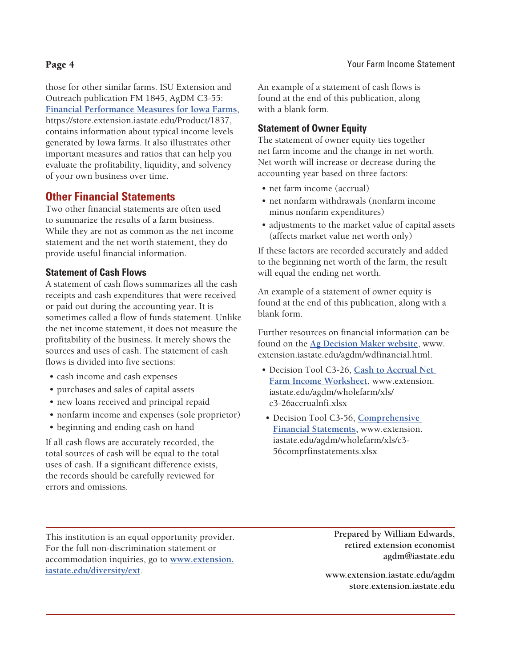those for other similar farms. ISU Extension and Outreach publication FM 1845, AgDM C3-55: **[Financial Performance Measures for Iowa Farms](https://store.extension.iastate.edu/Product/1837)**, <https://store.extension.iastate.edu/Product/1837>, [contains information about typical income levels](http://contains information about typical income levels generated by Iowa farms. It also illustrates other )  [generated by Iowa farms. It also illustrates other](http://contains information about typical income levels generated by Iowa farms. It also illustrates other )  [important measures and ratios that can help you](http://contains information about typical income levels generated by Iowa farms. It also illustrates other )  [evaluate the profitability, liquidity, and solvency](http://contains information about typical income levels generated by Iowa farms. It also illustrates other )  [of your own business over time.](http://contains information about typical income levels generated by Iowa farms. It also illustrates other )

#### **Other Financial Statements**

Two other financial statements are often used to summarize the results of a farm business. While they are not as common as the net income statement and the net worth statement, they do provide useful financial information.

#### **Statement of Cash Flows**

A statement of cash flows summarizes all the cash receipts and cash expenditures that were received or paid out during the accounting year. It is sometimes called a flow of funds statement. Unlike the net income statement, it does not measure the profitability of the business. It merely shows the sources and uses of cash. The statement of cash flows is divided into five sections:

- cash income and cash expenses
- purchases and sales of capital assets
- new loans received and principal repaid
- nonfarm income and expenses (sole proprietor)
- beginning and ending cash on hand

If all cash flows are accurately recorded, the total sources of cash will be equal to the total uses of cash. If a significant difference exists, the records should be carefully reviewed for errors and omissions.

An example of a statement of cash flows is found at the end of this publication, along with a blank form.

#### **Statement of Owner Equity**

The statement of owner equity ties together net farm income and the change in net worth. Net worth will increase or decrease during the accounting year based on three factors:

- net farm income (accrual)
- net nonfarm withdrawals (nonfarm income minus nonfarm expenditures)
- adjustments to the market value of capital assets (affects market value net worth only)

If these factors are recorded accurately and added to the beginning net worth of the farm, the result will equal the ending net worth.

An example of a statement of owner equity is found at the end of this publication, along with a blank form.

Further resources on financial information can be found on the **[Ag Decision Maker website](http://www.extension.iastate.edu/agdm/wdfinancial.html)**, www. extension.iastate.edu/agdm/wdfinancial.html.

- Decision Tool C3-26, **[Cash to Accrual Net](https://www.extension.iastate.edu/agdm/wholefarm/xls/c3-26accrualnfi.xlsx)  [Farm Income Worksheet](https://www.extension.iastate.edu/agdm/wholefarm/xls/c3-26accrualnfi.xlsx)**, www.extension. iastate.edu/agdm/wholefarm/xls/ c3-26accrualnfi.xlsx
- Decision Tool C3-56, **[Comprehensive](https://www.extension.iastate.edu/agdm/wholefarm/xls/c3-56comprfinstatements.xlsx)  [Financial Statements](https://www.extension.iastate.edu/agdm/wholefarm/xls/c3-56comprfinstatements.xlsx)**, [www.extension.](https://www.extension.iastate.edu/agdm/wholefarm/xls/c3-56comprfinstatements.xlsx) [iastate.edu/agdm/wholefarm/xls/c3-](https://www.extension.iastate.edu/agdm/wholefarm/xls/c3-56comprfinstatements.xlsx) [56comprfinstatements.xlsx](https://www.extension.iastate.edu/agdm/wholefarm/xls/c3-56comprfinstatements.xlsx)

This institution is an equal opportunity provider. For the full non-discrimination statement or accommodation inquiries, go to **www.extension. iastate.edu/diversity/ext**.

**Prepared by William Edwards, retired extension economist agdm@iastate.edu**

**[www.extension.iastate.edu/agdm](http://www.extension.iastate.edu/agdm ) [store.extension.iastate.edu](http://store.extension.iastate.edu)**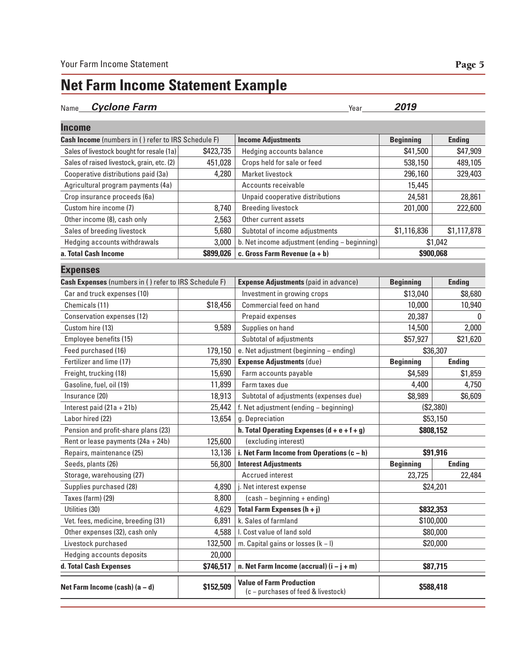### **Net Farm Income Statement Example**

#### Name **Cyclone Farm Year 2019**

| <b>Income</b>                                         |           |                                                                        |                  |               |
|-------------------------------------------------------|-----------|------------------------------------------------------------------------|------------------|---------------|
| Cash Income (numbers in () refer to IRS Schedule F)   |           | <b>Income Adjustments</b>                                              | <b>Beginning</b> | <b>Ending</b> |
| Sales of livestock bought for resale (1a)             | \$423,735 | Hedging accounts balance                                               | \$41,500         | \$47,909      |
| Sales of raised livestock, grain, etc. (2)            | 451,028   | Crops held for sale or feed                                            | 538,150          | 489,105       |
| Cooperative distributions paid (3a)                   | 4,280     | Market livestock                                                       | 296,160          | 329,403       |
| Agricultural program payments (4a)                    |           | Accounts receivable                                                    | 15,445           |               |
| Crop insurance proceeds (6a)                          |           | Unpaid cooperative distributions                                       | 24,581           | 28,861        |
| Custom hire income (7)                                | 8,740     | <b>Breeding livestock</b>                                              | 201,000          | 222,600       |
| Other income (8), cash only                           | 2,563     | Other current assets                                                   |                  |               |
| Sales of breeding livestock                           | 5,680     | Subtotal of income adjustments                                         | \$1,116,836      | \$1,117,878   |
| Hedging accounts withdrawals                          | 3,000     | b. Net income adjustment (ending - beginning)                          |                  | \$1,042       |
| a. Total Cash Income                                  | \$899,026 | c. Gross Farm Revenue $(a + b)$                                        | \$900,068        |               |
| <b>Expenses</b>                                       |           |                                                                        |                  |               |
| Cash Expenses (numbers in () refer to IRS Schedule F) |           | <b>Expense Adjustments</b> (paid in advance)                           | <b>Beginning</b> | <b>Ending</b> |
| Car and truck expenses (10)                           |           | Investment in growing crops                                            | \$13,040         | \$8,680       |
| Chemicals (11)                                        | \$18,456  | Commercial feed on hand                                                | 10,000           | 10,940        |
| Conservation expenses (12)                            |           | Prepaid expenses                                                       | 20,387           | 0             |
| Custom hire (13)                                      | 9,589     | Supplies on hand                                                       | 14,500           | 2,000         |
| Employee benefits (15)                                |           | Subtotal of adjustments                                                | \$57,927         | \$21,620      |
| Feed purchased (16)                                   | 179,150   | e. Net adjustment (beginning - ending)                                 | \$36,307         |               |
| Fertilizer and lime (17)                              | 75,890    | <b>Expense Adjustments (due)</b>                                       | <b>Beginning</b> | <b>Ending</b> |
| Freight, trucking (18)                                | 15,690    | Farm accounts payable                                                  | \$4,589          | \$1,859       |
| Gasoline, fuel, oil (19)                              | 11,899    | Farm taxes due                                                         | 4,400            | 4,750         |
| Insurance (20)                                        | 18,913    | Subtotal of adjustments (expenses due)                                 | \$8,989          | \$6,609       |
| Interest paid $(21a + 21b)$                           | 25,442    | f. Net adjustment (ending - beginning)                                 | (\$2,380)        |               |
| Labor hired (22)                                      | 13,654    | g. Depreciation                                                        | \$53,150         |               |
| Pension and profit-share plans (23)                   |           | h. Total Operating Expenses $(d + e + f + g)$                          | \$808,152        |               |
| Rent or lease payments $(24a + 24b)$                  | 125,600   | (excluding interest)                                                   |                  |               |
| Repairs, maintenance (25)                             | 13,136    | i. Net Farm Income from Operations (c - h)                             |                  | \$91,916      |
| Seeds, plants (26)                                    | 56,800    | <b>Interest Adjustments</b>                                            | <b>Beginning</b> | <b>Ending</b> |
| Storage, warehousing (27)                             |           | Accrued interest                                                       | 23,725           | 22,484        |
| Supplies purchased (28)                               | 4,890     | j. Net interest expense                                                | \$24,201         |               |
| Taxes (farm) (29)                                     | 8,800     | (cash - beginning + ending)                                            |                  |               |
| Utilities (30)                                        | 4,629     | Total Farm Expenses $(h + j)$                                          | \$832,353        |               |
| Vet. fees, medicine, breeding (31)                    | 6,891     | k. Sales of farmland                                                   | \$100,000        |               |
| Other expenses (32), cash only                        | 4,588     | I. Cost value of land sold                                             | \$80,000         |               |
| Livestock purchased                                   | 132,500   | m. Capital gains or losses $(k - 1)$                                   | \$20,000         |               |
| Hedging accounts deposits                             | 20,000    |                                                                        |                  |               |
| d. Total Cash Expenses                                | \$746,517 | n. Net Farm Income (accrual) $(i - j + m)$                             |                  | \$87,715      |
| Net Farm Income (cash) $(a - d)$                      | \$152,509 | <b>Value of Farm Production</b><br>(c - purchases of feed & livestock) | \$588,418        |               |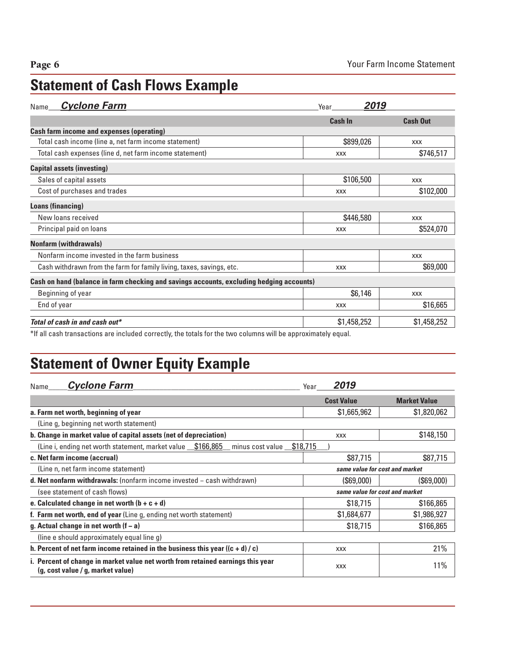## **Statement of Cash Flows Example**

| <b>Cyclone Farm</b><br>Name                                                                                     | 2019<br>Year   |                 |
|-----------------------------------------------------------------------------------------------------------------|----------------|-----------------|
|                                                                                                                 | <b>Cash In</b> | <b>Cash Out</b> |
| <b>Cash farm income and expenses (operating)</b>                                                                |                |                 |
| Total cash income (line a, net farm income statement)                                                           | \$899,026      | <b>XXX</b>      |
| Total cash expenses (line d, net farm income statement)                                                         | <b>XXX</b>     | \$746,517       |
| <b>Capital assets (investing)</b>                                                                               |                |                 |
| Sales of capital assets                                                                                         | \$106,500      | <b>XXX</b>      |
| Cost of purchases and trades                                                                                    | <b>XXX</b>     | \$102,000       |
| Loans (financing)                                                                                               |                |                 |
| New loans received                                                                                              | \$446,580      | <b>XXX</b>      |
| Principal paid on loans                                                                                         | <b>XXX</b>     | \$524,070       |
| <b>Nonfarm (withdrawals)</b>                                                                                    |                |                 |
| Nonfarm income invested in the farm business                                                                    |                | <b>XXX</b>      |
| Cash withdrawn from the farm for family living, taxes, savings, etc.                                            | <b>XXX</b>     | \$69,000        |
| Cash on hand (balance in farm checking and savings accounts, excluding hedging accounts)                        |                |                 |
| Beginning of year                                                                                               | \$6,146        | <b>XXX</b>      |
| End of year                                                                                                     | <b>XXX</b>     | \$16,665        |
| Total of cash in and cash out*                                                                                  | \$1,458,252    | \$1,458,252     |
| the through the procedure and included equative the totals for the two equipment of the engineering to be equal |                |                 |

\*If all cash transactions are included correctly, the totals for the two columns will be approximately equal.

### **Statement of Owner Equity Example**

| <b>Cyclone Farm</b><br>Name                                                                                          | 2019<br>Year                   |                                |
|----------------------------------------------------------------------------------------------------------------------|--------------------------------|--------------------------------|
|                                                                                                                      | <b>Cost Value</b>              | <b>Market Value</b>            |
| a. Farm net worth, beginning of year                                                                                 | \$1,665,962                    | \$1,820,062                    |
| (Line g, beginning net worth statement)                                                                              |                                |                                |
| b. Change in market value of capital assets (net of depreciation)                                                    | <b>XXX</b>                     | \$148,150                      |
| (Line i, ending net worth statement, market value \$166,865<br>minus cost value \$18,715                             |                                |                                |
| c. Net farm income (accrual)                                                                                         | \$87,715                       | \$87,715                       |
| (Line n, net farm income statement)                                                                                  | same value for cost and market |                                |
| <b>d. Net nonfarm withdrawals:</b> (nonfarm income invested $-$ cash withdrawn)                                      | (\$69,000)                     | (\$69,000)                     |
| (see statement of cash flows)                                                                                        |                                | same value for cost and market |
| e. Calculated change in net worth $(b + c + d)$                                                                      | \$18,715                       | \$166,865                      |
| f. Farm net worth, end of year (Line g, ending net worth statement)                                                  | \$1,684,677                    | \$1,986,927                    |
| g. Actual change in net worth $(f - a)$                                                                              | \$18,715                       | \$166,865                      |
| (line e should approximately equal line g)                                                                           |                                |                                |
| h. Percent of net farm income retained in the business this year $((c + d) / c)$                                     | <b>XXX</b>                     | 21%                            |
| i. Percent of change in market value net worth from retained earnings this year<br>(g, cost value / g, market value) | <b>XXX</b>                     | 11%                            |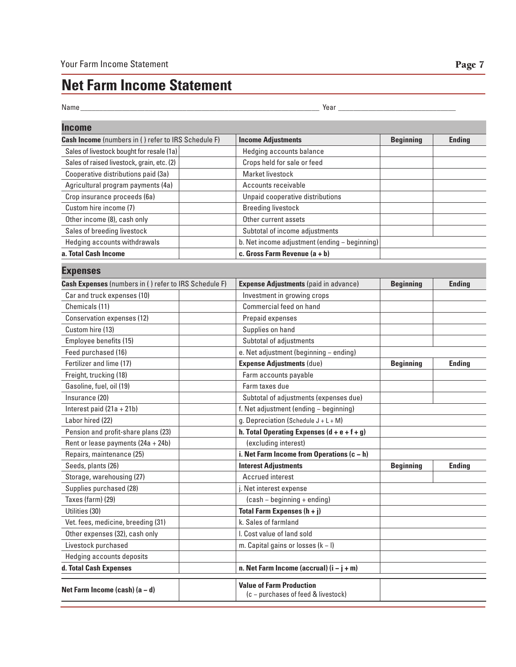### **Net Farm Income Statement**

| Name_                                                 | Year $_{-}$                                   |                  |               |
|-------------------------------------------------------|-----------------------------------------------|------------------|---------------|
| <b>Income</b>                                         |                                               |                  |               |
| Cash Income (numbers in () refer to IRS Schedule F)   | <b>Income Adjustments</b>                     | <b>Beginning</b> | <b>Ending</b> |
| Sales of livestock bought for resale (1a)             | Hedging accounts balance                      |                  |               |
| Sales of raised livestock, grain, etc. (2)            | Crops held for sale or feed                   |                  |               |
| Cooperative distributions paid (3a)                   | Market livestock                              |                  |               |
| Agricultural program payments (4a)                    | Accounts receivable                           |                  |               |
| Crop insurance proceeds (6a)                          | Unpaid cooperative distributions              |                  |               |
| Custom hire income (7)                                | <b>Breeding livestock</b>                     |                  |               |
| Other income (8), cash only                           | Other current assets                          |                  |               |
| Sales of breeding livestock                           | Subtotal of income adjustments                |                  |               |
| Hedging accounts withdrawals                          | b. Net income adjustment (ending - beginning) |                  |               |
| a. Total Cash Income                                  | c. Gross Farm Revenue $(a + b)$               |                  |               |
| <b>Expenses</b>                                       |                                               |                  |               |
| Cash Expenses (numbers in () refer to IRS Schedule F) | <b>Expense Adjustments</b> (paid in advance)  | <b>Beginning</b> | <b>Ending</b> |
| Car and truck expenses (10)                           | Investment in growing crops                   |                  |               |
| Chemicals (11)                                        | Commercial feed on hand                       |                  |               |
| Conservation expenses (12)                            | Prepaid expenses                              |                  |               |
| Custom hire (13)                                      | Supplies on hand                              |                  |               |
| Employee benefits (15)                                | Subtotal of adjustments                       |                  |               |
| Feed purchased (16)                                   | e. Net adjustment (beginning - ending)        |                  |               |
| Fertilizer and lime (17)                              | <b>Expense Adjustments (due)</b>              | <b>Beginning</b> | <b>Ending</b> |
| Freight, trucking (18)                                | Farm accounts payable                         |                  |               |
| Gasoline, fuel, oil (19)                              | Farm taxes due                                |                  |               |
| Insurance (20)                                        | Subtotal of adjustments (expenses due)        |                  |               |
| Interest paid $(21a + 21b)$                           | f. Net adjustment (ending - beginning)        |                  |               |
| Labor hired (22)                                      | g. Depreciation (Schedule $J + L + M$ )       |                  |               |
| Pension and profit-share plans (23)                   | h. Total Operating Expenses $(d + e + f + g)$ |                  |               |
| Rent or lease payments (24a + 24b)                    | (excluding interest)                          |                  |               |
| Ponsire maintananos (25)                              | i Not Form Income from Operations (a)         |                  |               |

**Expenses** Feed purchased (16) e. Net adjustment (beginning − ending) Fertilizer and lime (17) **Expense Adjustments** (due) **Beginning Ending** Freight, trucking (18) The Country of Latin and Truman accounts payable Gasoline, fuel, oil (19) Farm taxes due Insurance (20) Subtotal of adjustments (expenses due) Interest paid (21a + 21b) f. Net adjustment (ending − beginning) Labor hired (22) g. Depreciation (Schedule J + L + M) Pension and profit-share plans (23) **h. Total Operating Expenses (d + e + f + g)** Rent or lease payments (24a + 24b) | (excluding interest) Repairs, maintenance (25) **i. Net Farm Income from Operations (c − h)** Seeds, plants (26) **Interest Adjustments Beginning Ending** Storage, warehousing (27) and a set of the state of the state of the state of the state of the state of the state of the state of the state of the state of the state of the state of the state of the state of the state of t Supplies purchased (28) **j.** Net interest expense Taxes (farm) (29) (Cash − beginning + ending) Utilities (30) **Total Farm Expenses (h + j)** Vet. fees, medicine, breeding (31)  $\vert$  k. Sales of farmland Other expenses (32), cash only lack and sold l. Cost value of land sold Livestock purchased m. Capital gains or losses (k − l) Hedging accounts deposits **d. Total Cash Expenses n. Net Farm Income (accrual) (i − j + m)**

**Net Farm Income (cash) (a − d) Value of Farm Production** (c − purchases of feed & livestock)